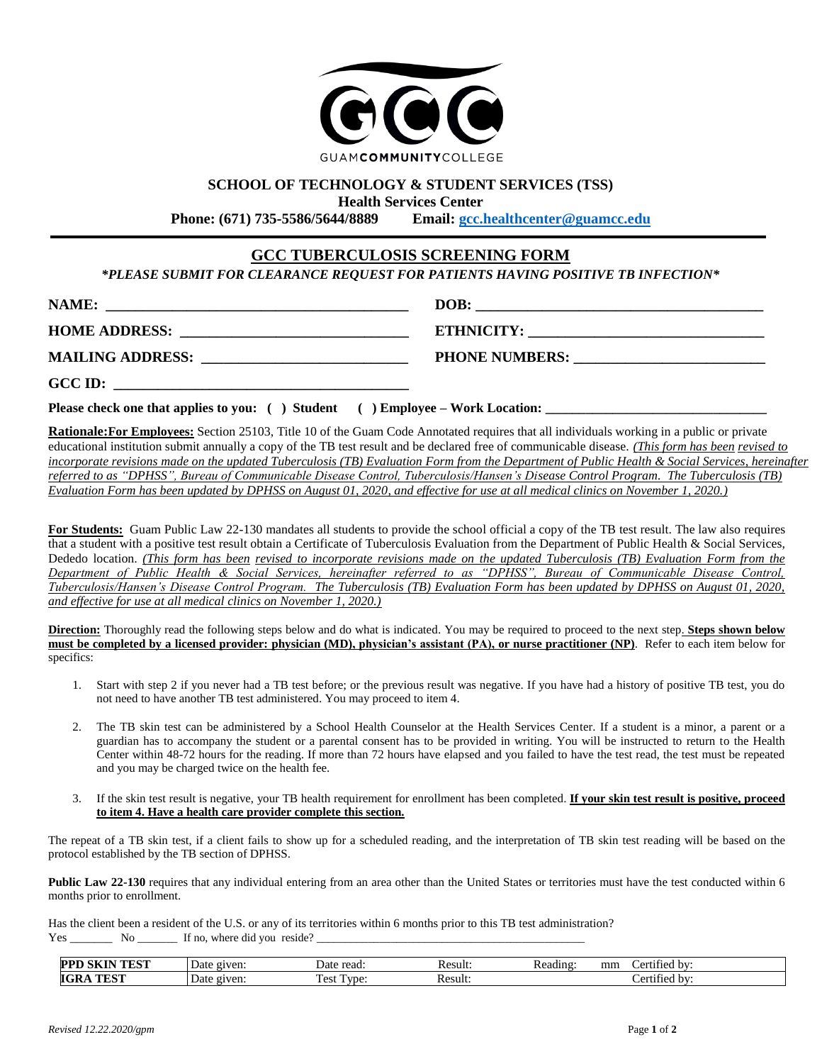

# **SCHOOL OF TECHNOLOGY & STUDENT SERVICES (TSS)**

**Health Services Center**<br>**Phone:** (671) 735-5586/5644/8889 **Email: gcc. Phone: (671) 735-5586/5644/8889 Email: [gcc.healthcenter@guamcc.edu](mailto:gcc.healthcenter@guamcc.edu)**

# **GCC TUBERCULOSIS SCREENING FORM**

*\*PLEASE SUBMIT FOR CLEARANCE REQUEST FOR PATIENTS HAVING POSITIVE TB INFECTION\**

| NAME:                | DOB:                                                                                                                                       |
|----------------------|--------------------------------------------------------------------------------------------------------------------------------------------|
| <b>HOME ADDRESS:</b> | <b>ETHNICITY:</b><br><u> 1980 - Jan Barbara, manazar maso da masa a shekara ta 1980 ha a shekara tsa na shekara tsa na shekara tsa na </u> |
|                      | <b>PHONE NUMBERS:</b>                                                                                                                      |
| GCC ID:              |                                                                                                                                            |

**Please check one that applies to you:** () Student () Employee – Work Location:

**Rationale:For Employees:** Section 25103, Title 10 of the Guam Code Annotated requires that all individuals working in a public or private educational institution submit annually a copy of the TB test result and be declared free of communicable disease. *(This form has been revised to incorporate revisions made on the updated Tuberculosis (TB) Evaluation Form from the Department of Public Health & Social Services, hereinafter referred to as "DPHSS", Bureau of Communicable Disease Control, Tuberculosis/Hansen's Disease Control Program. The Tuberculosis (TB) Evaluation Form has been updated by DPHSS on August 01, 2020, and effective for use at all medical clinics on November 1, 2020.)*

**For Students:** Guam Public Law 22-130 mandates all students to provide the school official a copy of the TB test result. The law also requires that a student with a positive test result obtain a Certificate of Tuberculosis Evaluation from the Department of Public Health & Social Services, Dededo location. *(This form has been revised to incorporate revisions made on the updated Tuberculosis (TB) Evaluation Form from the Department of Public Health & Social Services, hereinafter referred to as "DPHSS", Bureau of Communicable Disease Control, Tuberculosis/Hansen's Disease Control Program. The Tuberculosis (TB) Evaluation Form has been updated by DPHSS on August 01, 2020, and effective for use at all medical clinics on November 1, 2020.)*

**Direction:** Thoroughly read the following steps below and do what is indicated. You may be required to proceed to the next step. **Steps shown below must be completed by a licensed provider: physician (MD), physician's assistant (PA), or nurse practitioner (NP)**. Refer to each item below for specifics:

- 1. Start with step 2 if you never had a TB test before; or the previous result was negative. If you have had a history of positive TB test, you do not need to have another TB test administered. You may proceed to item 4.
- 2. The TB skin test can be administered by a School Health Counselor at the Health Services Center. If a student is a minor, a parent or a guardian has to accompany the student or a parental consent has to be provided in writing. You will be instructed to return to the Health Center within 48-72 hours for the reading. If more than 72 hours have elapsed and you failed to have the test read, the test must be repeated and you may be charged twice on the health fee.
- 3. If the skin test result is negative, your TB health requirement for enrollment has been completed. **If your skin test result is positive, proceed to item 4. Have a health care provider complete this section.**

The repeat of a TB skin test, if a client fails to show up for a scheduled reading, and the interpretation of TB skin test reading will be based on the protocol established by the TB section of DPHSS.

**Public Law 22-130** requires that any individual entering from an area other than the United States or territories must have the test conducted within 6 months prior to enrollment.

Has the client been a resident of the U.S. or any of its territories within 6 months prior to this TB test administration?  $Yes \_\_\_\_\_\_\_\_\_\_\_\$  If no, where did you reside?  $\_\_\_\_\_\_\_\_\_\_\_\_\_\_\_\_\_\_\_\_$ 

| '' moder<br>PP<br>m | given:<br>Date | read<br>Jate                                                           | Kesult: | mm<br>Reading<br>hv·<br>۵٣<br>11 o o<br>. |
|---------------------|----------------|------------------------------------------------------------------------|---------|-------------------------------------------|
| 'OʻTI<br>IG.<br>--- | given:<br>Date | m<br>$\cdot$ $\alpha$ <sup>-</sup><br>$\mathbf{m}$<br>∡CSL<br>$\cdots$ | Result. | fied by:<br>$^{\circ}$                    |